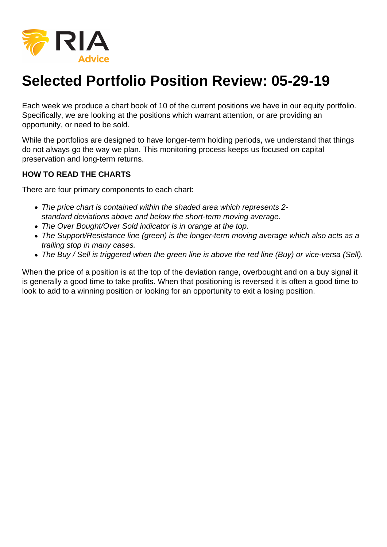

## **Selected Portfolio Position Review: 05-29-19**

Each week we produce a chart book of 10 of the current positions we have in our equity portfolio. Specifically, we are looking at the positions which warrant attention, or are providing an opportunity, or need to be sold.

While the portfolios are designed to have longer-term holding periods, we understand that things do not always go the way we plan. This monitoring process keeps us focused on capital preservation and long-term returns.

## **HOW TO READ THE CHARTS**

There are four primary components to each chart:

- The price chart is contained within the shaded area which represents 2 standard deviations above and below the short-term moving average.
- The Over Bought/Over Sold indicator is in orange at the top.
- The Support/Resistance line (green) is the longer-term moving average which also acts as a trailing stop in many cases.
- The Buy / Sell is triggered when the green line is above the red line (Buy) or vice-versa (Sell).

When the price of a position is at the top of the deviation range, overbought and on a buy signal it is generally a good time to take profits. When that positioning is reversed it is often a good time to look to add to a winning position or looking for an opportunity to exit a losing position.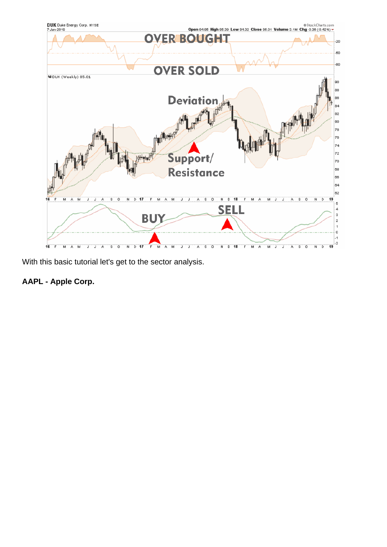With this basic tutorial let's get to the sector analysis.

AAPL - Apple Corp.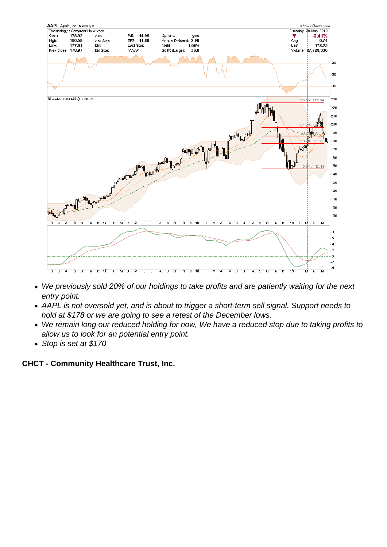- We previously sold 20% of our holdings to take profits and are patiently waiting for the next entry point.
- AAPL is not oversold yet, and is about to trigger a short-term sell signal. Support needs to hold at \$178 or we are going to see a retest of the December lows.
- We remain long our reduced holding for now, We have a reduced stop due to taking profits to allow us to look for an potential entry point.
- Stop is set at \$170

CHCT - Community Healthcare Trust, Inc.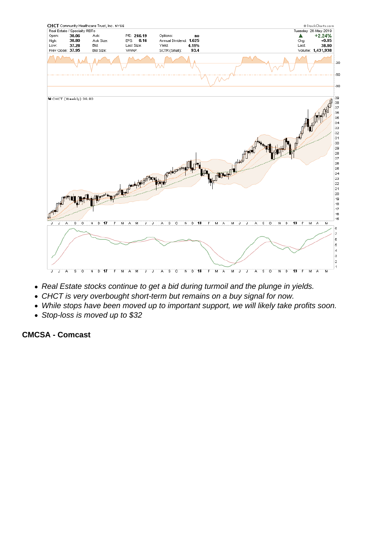- Real Estate stocks continue to get a bid during turmoil and the plunge in yields.
- CHCT is very overbought short-term but remains on a buy signal for now.
- While stops have been moved up to important support, we will likely take profits soon.
- Stop-loss is moved up to \$32

CMCSA - Comcast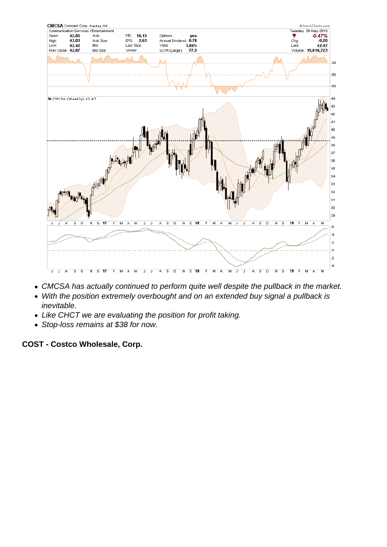- CMCSA has actually continued to perform quite well despite the pullback in the market.
- With the position extremely overbought and on an extended buy signal a pullback is inevitable.
- Like CHCT we are evaluating the position for profit taking.
- Stop-loss remains at \$38 for now.

COST - Costco Wholesale, Corp.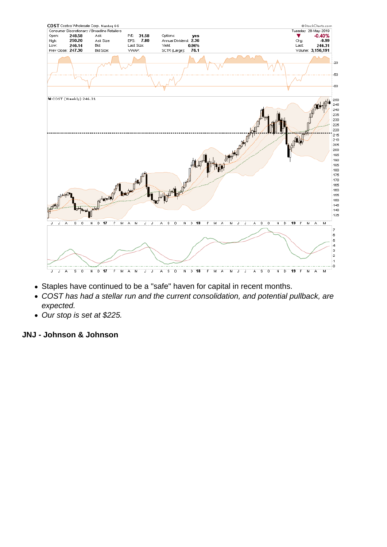- Staples have continued to be a "safe" haven for capital in recent months.
- COST has had a stellar run and the current consolidation, and potential pullback, are expected.
- Our stop is set at \$225.

JNJ - Johnson & Johnson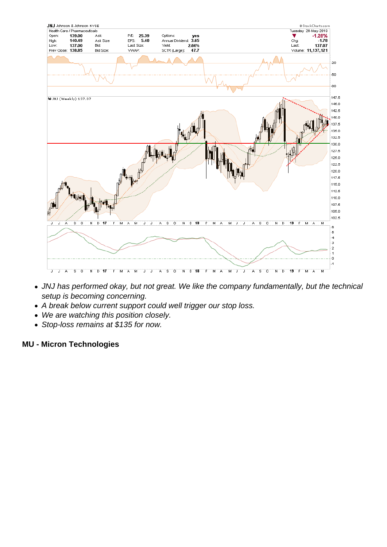- JNJ has performed okay, but not great. We like the company fundamentally, but the technical setup is becoming concerning.
- A break below current support could well trigger our stop loss.
- We are watching this position closely.
- Stop-loss remains at \$135 for now.

MU - Micron Technologies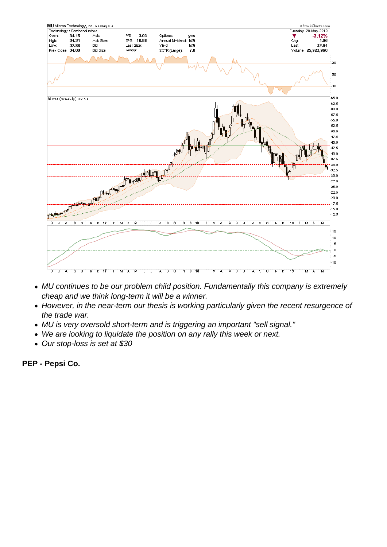- MU continues to be our problem child position. Fundamentally this company is extremely cheap and we think long-term it will be a winner.
- However, in the near-term our thesis is working particularly given the recent resurgence of the trade war.
- MU is very oversold short-term and is triggering an important "sell signal."
- We are looking to liquidate the position on any rally this week or next.
- Our stop-loss is set at \$30

PEP - Pepsi Co.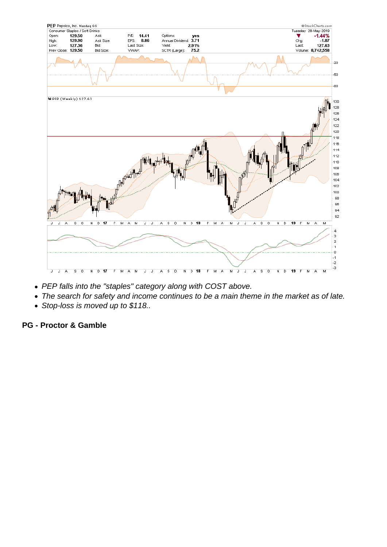- PEP falls into the "staples" category along with COST above.
- The search for safety and income continues to be a main theme in the market as of late.
- Stop-loss is moved up to \$118..

PG - Proctor & Gamble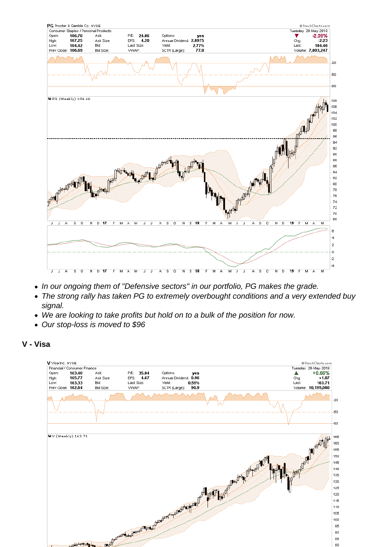- In our ongoing them of "Defensive sectors" in our portfolio, PG makes the grade.
- The strong rally has taken PG to extremely overbought conditions and a very extended buy signal.
- We are looking to take profits but hold on to a bulk of the position for now.
- Our stop-loss is moved to \$96

V - Visa